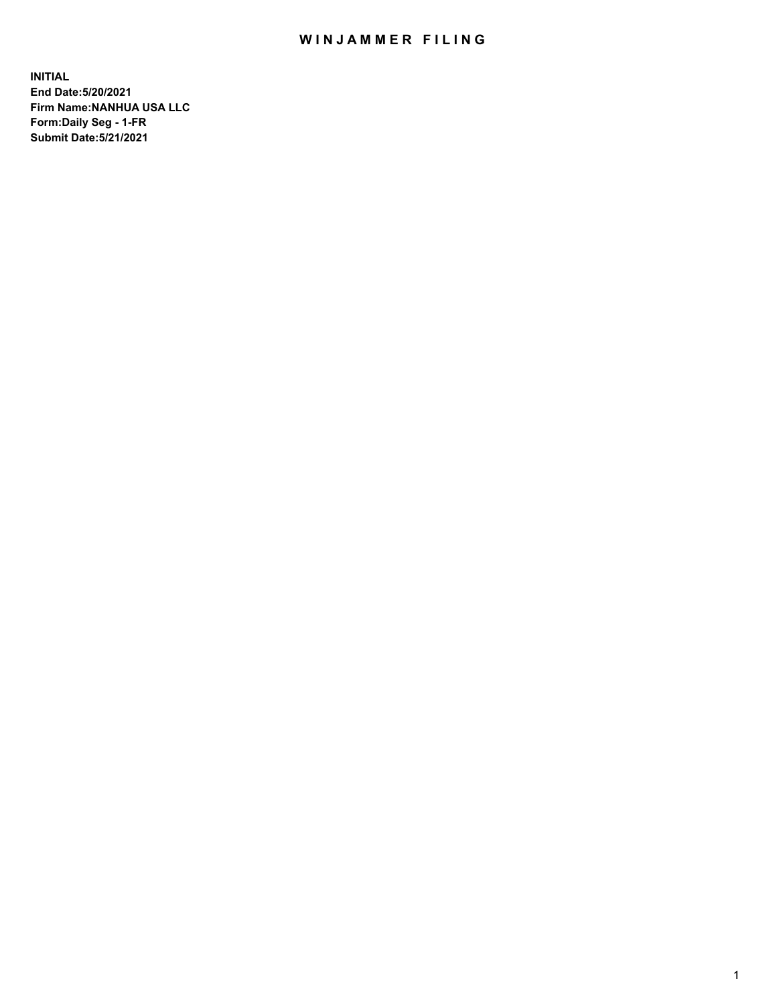## WIN JAMMER FILING

**INITIAL End Date:5/20/2021 Firm Name:NANHUA USA LLC Form:Daily Seg - 1-FR Submit Date:5/21/2021**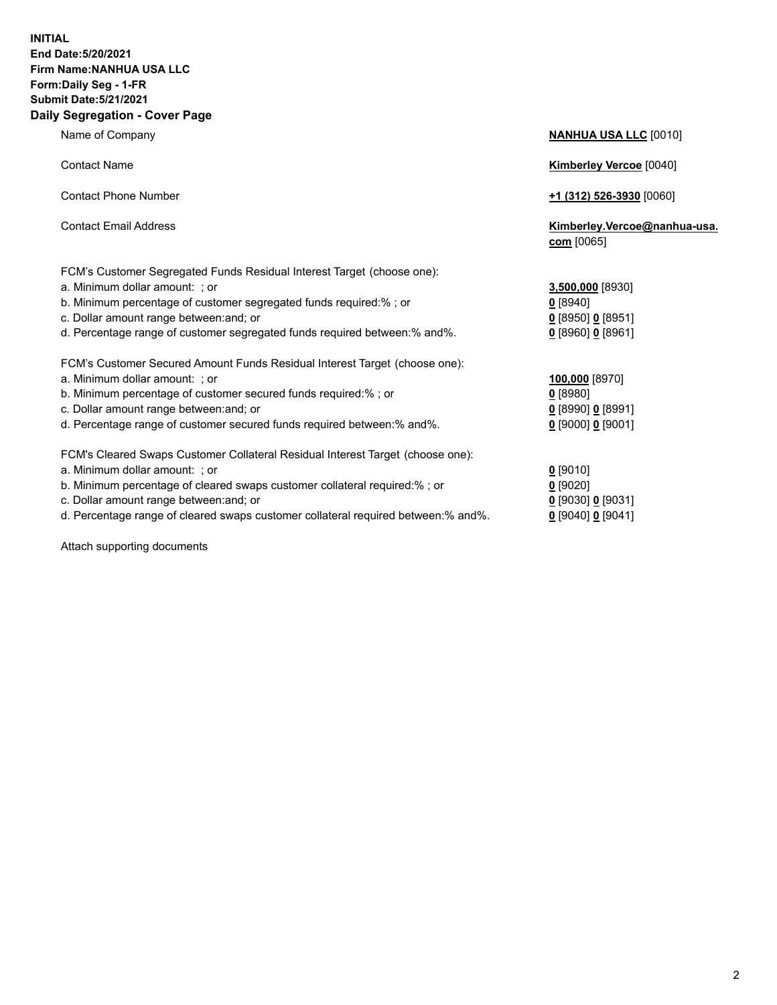## **INITIAL End Date:5/20/2021 Firm Name:NANHUA USA LLC Form:Daily Seg - 1-FR Submit Date:5/21/2021 Daily Segregation - Cover Page**

**Name of Company <b>NANHUA USA LLC** [0010]

| <b>TRAILIO OF OUTIFUILY</b>                                                                                                                                                                                                                                                                             | <u><b>WINDAY OUT LES</b></u> 100101                                          |
|---------------------------------------------------------------------------------------------------------------------------------------------------------------------------------------------------------------------------------------------------------------------------------------------------------|------------------------------------------------------------------------------|
| <b>Contact Name</b>                                                                                                                                                                                                                                                                                     | <b>Kimberley Vercoe [0040]</b>                                               |
| <b>Contact Phone Number</b>                                                                                                                                                                                                                                                                             | $+1$ (312) 526-3930 [0060]                                                   |
| <b>Contact Email Address</b>                                                                                                                                                                                                                                                                            | Kimberley.Vercoe@nanhua-usa.<br>com [0065]                                   |
| FCM's Customer Segregated Funds Residual Interest Target (choose one):<br>a. Minimum dollar amount: ; or<br>b. Minimum percentage of customer segregated funds required:%; or<br>c. Dollar amount range between: and; or<br>d. Percentage range of customer segregated funds required between: % and %. | 3,500,000 [8930]<br>$0$ [8940]<br>$0$ [8950] 0 [8951]<br>$0$ [8960] 0 [8961] |
| FCM's Customer Secured Amount Funds Residual Interest Target (choose one):<br>a. Minimum dollar amount: ; or<br>b. Minimum percentage of customer secured funds required:%; or<br>c. Dollar amount range between: and; or<br>d. Percentage range of customer secured funds required between: % and %.   | 100,000 [8970]<br>$0$ [8980]<br>$0$ [8990] 0 [8991]<br>$0$ [9000] 0 [9001]   |
| FCM's Cleared Swaps Customer Collateral Residual Interest Target (choose one):<br>a. Minimum dollar amount: ; or<br>b. Minimum percentage of cleared swaps customer collateral required:% ; or<br>c. Dollar amount range between: and; or                                                               | $0$ [9010]<br>$0$ [9020]<br>$0$ [9030] 0 [9031]                              |

- 
- d. Percentage range of cleared swaps customer collateral required between:% and%. **0** [9040] **0** [9041]

Attach supporting documents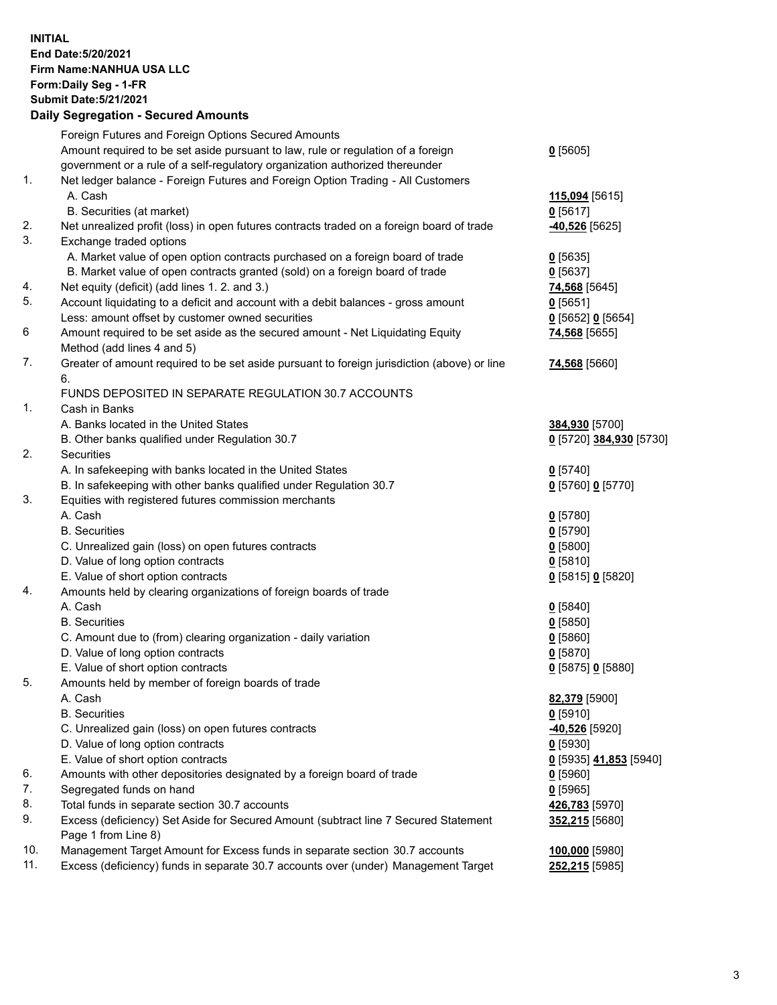**INITIAL End Date:5/20/2021 Firm Name:NANHUA USA LLC Form:Daily Seg - 1-FR Submit Date:5/21/2021**

## **Daily Segregation - Secured Amounts**

|     | Foreign Futures and Foreign Options Secured Amounts                                         |                         |
|-----|---------------------------------------------------------------------------------------------|-------------------------|
|     | Amount required to be set aside pursuant to law, rule or regulation of a foreign            | $0$ [5605]              |
|     | government or a rule of a self-regulatory organization authorized thereunder                |                         |
| 1.  | Net ledger balance - Foreign Futures and Foreign Option Trading - All Customers             |                         |
|     | A. Cash                                                                                     | 115,094 [5615]          |
|     | B. Securities (at market)                                                                   | $0$ [5617]              |
| 2.  | Net unrealized profit (loss) in open futures contracts traded on a foreign board of trade   | -40,526 [5625]          |
| 3.  | Exchange traded options                                                                     |                         |
|     | A. Market value of open option contracts purchased on a foreign board of trade              | $0$ [5635]              |
|     | B. Market value of open contracts granted (sold) on a foreign board of trade                | $0$ [5637]              |
| 4.  | Net equity (deficit) (add lines 1. 2. and 3.)                                               | 74,568 [5645]           |
| 5.  | Account liquidating to a deficit and account with a debit balances - gross amount           | $0$ [5651]              |
|     | Less: amount offset by customer owned securities                                            | $0$ [5652] $0$ [5654]   |
| 6   | Amount required to be set aside as the secured amount - Net Liquidating Equity              | 74,568 [5655]           |
|     | Method (add lines 4 and 5)                                                                  |                         |
| 7.  | Greater of amount required to be set aside pursuant to foreign jurisdiction (above) or line | 74,568 [5660]           |
|     | 6.                                                                                          |                         |
|     | FUNDS DEPOSITED IN SEPARATE REGULATION 30.7 ACCOUNTS                                        |                         |
| 1.  | Cash in Banks                                                                               |                         |
|     | A. Banks located in the United States                                                       |                         |
|     |                                                                                             | 384,930 [5700]          |
| 2.  | B. Other banks qualified under Regulation 30.7<br>Securities                                | 0 [5720] 384,930 [5730] |
|     |                                                                                             |                         |
|     | A. In safekeeping with banks located in the United States                                   | $0$ [5740]              |
|     | B. In safekeeping with other banks qualified under Regulation 30.7                          | 0 [5760] 0 [5770]       |
| 3.  | Equities with registered futures commission merchants                                       |                         |
|     | A. Cash                                                                                     | $0$ [5780]              |
|     | <b>B.</b> Securities                                                                        | $0$ [5790]              |
|     | C. Unrealized gain (loss) on open futures contracts                                         | $0$ [5800]              |
|     | D. Value of long option contracts                                                           | $0$ [5810]              |
|     | E. Value of short option contracts                                                          | 0 [5815] 0 [5820]       |
| 4.  | Amounts held by clearing organizations of foreign boards of trade                           |                         |
|     | A. Cash                                                                                     | $0$ [5840]              |
|     | <b>B.</b> Securities                                                                        | $0$ [5850]              |
|     | C. Amount due to (from) clearing organization - daily variation                             | $0$ [5860]              |
|     | D. Value of long option contracts                                                           | $0$ [5870]              |
|     | E. Value of short option contracts                                                          | 0 [5875] 0 [5880]       |
| 5.  | Amounts held by member of foreign boards of trade                                           |                         |
|     | A. Cash                                                                                     | 82,379 [5900]           |
|     | <b>B.</b> Securities                                                                        | $0$ [5910]              |
|     | C. Unrealized gain (loss) on open futures contracts                                         | -40,526 [5920]          |
|     | D. Value of long option contracts                                                           | $0$ [5930]              |
|     | E. Value of short option contracts                                                          | 0 [5935] 41,853 [5940]  |
| 6.  | Amounts with other depositories designated by a foreign board of trade                      | $0$ [5960]              |
| 7.  | Segregated funds on hand                                                                    | $0$ [5965]              |
| 8.  | Total funds in separate section 30.7 accounts                                               | 426,783 [5970]          |
| 9.  | Excess (deficiency) Set Aside for Secured Amount (subtract line 7 Secured Statement         | 352,215 [5680]          |
|     | Page 1 from Line 8)                                                                         |                         |
| 10. | Management Target Amount for Excess funds in separate section 30.7 accounts                 | 100,000 [5980]          |
| 11. | Excess (deficiency) funds in separate 30.7 accounts over (under) Management Target          | 252,215 [5985]          |
|     |                                                                                             |                         |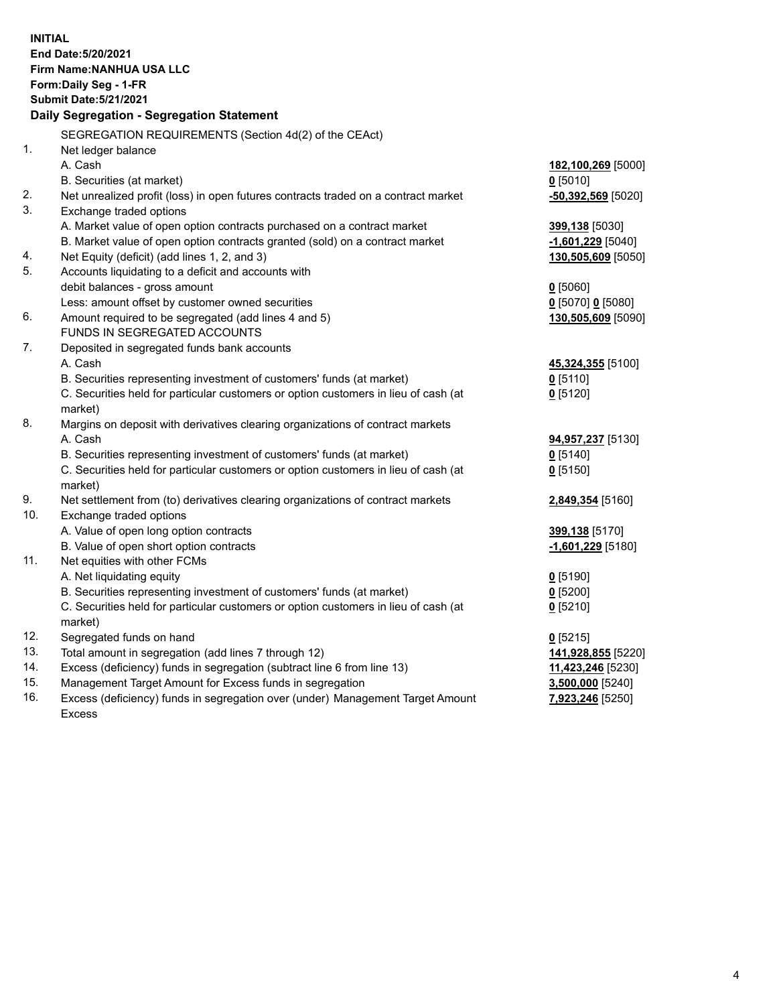| <b>INITIAL</b> | End Date: 5/20/2021<br><b>Firm Name: NANHUA USA LLC</b><br>Form: Daily Seg - 1-FR<br><b>Submit Date: 5/21/2021</b><br>Daily Segregation - Segregation Statement |                                      |
|----------------|-----------------------------------------------------------------------------------------------------------------------------------------------------------------|--------------------------------------|
|                | SEGREGATION REQUIREMENTS (Section 4d(2) of the CEAct)                                                                                                           |                                      |
| 1 <sub>1</sub> | Net ledger balance                                                                                                                                              |                                      |
|                | A. Cash                                                                                                                                                         | 182,100,269 [5000]                   |
|                | B. Securities (at market)                                                                                                                                       | $0$ [5010]                           |
| 2.<br>3.       | Net unrealized profit (loss) in open futures contracts traded on a contract market<br>Exchange traded options                                                   | $-50,392,569$ [5020]                 |
|                | A. Market value of open option contracts purchased on a contract market                                                                                         | 399,138 [5030]                       |
|                | B. Market value of open option contracts granted (sold) on a contract market                                                                                    | $-1,601,229$ [5040]                  |
| 4.             | Net Equity (deficit) (add lines 1, 2, and 3)                                                                                                                    | 130,505,609 [5050]                   |
| 5.             | Accounts liquidating to a deficit and accounts with                                                                                                             |                                      |
|                | debit balances - gross amount                                                                                                                                   | $0$ [5060]                           |
|                | Less: amount offset by customer owned securities                                                                                                                | 0 [5070] 0 [5080]                    |
| 6.             | Amount required to be segregated (add lines 4 and 5)                                                                                                            | 130,505,609 [5090]                   |
|                | FUNDS IN SEGREGATED ACCOUNTS                                                                                                                                    |                                      |
| 7.             | Deposited in segregated funds bank accounts                                                                                                                     |                                      |
|                | A. Cash                                                                                                                                                         | 45,324,355 [5100]                    |
|                | B. Securities representing investment of customers' funds (at market)                                                                                           | $0$ [5110]                           |
|                | C. Securities held for particular customers or option customers in lieu of cash (at                                                                             | $0$ [5120]                           |
|                | market)                                                                                                                                                         |                                      |
| 8.             | Margins on deposit with derivatives clearing organizations of contract markets                                                                                  |                                      |
|                | A. Cash                                                                                                                                                         | 94,957,237 [5130]                    |
|                | B. Securities representing investment of customers' funds (at market)<br>C. Securities held for particular customers or option customers in lieu of cash (at    | $0$ [5140]<br>$0$ [5150]             |
|                | market)                                                                                                                                                         |                                      |
| 9.             | Net settlement from (to) derivatives clearing organizations of contract markets                                                                                 | 2,849,354 [5160]                     |
| 10.            | Exchange traded options                                                                                                                                         |                                      |
|                | A. Value of open long option contracts                                                                                                                          | 399,138 [5170]                       |
|                | B. Value of open short option contracts                                                                                                                         | -1,601,229 [5180]                    |
| 11.            | Net equities with other FCMs                                                                                                                                    |                                      |
|                | A. Net liquidating equity                                                                                                                                       | $0$ [5190]                           |
|                | B. Securities representing investment of customers' funds (at market)                                                                                           | $0$ [5200]                           |
|                | C. Securities held for particular customers or option customers in lieu of cash (at                                                                             | $0$ [5210]                           |
|                | market)                                                                                                                                                         |                                      |
| 12.            | Segregated funds on hand                                                                                                                                        | $0$ [5215]                           |
| 13.            | Total amount in segregation (add lines 7 through 12)                                                                                                            | 141,928,855 [5220]                   |
| 14.<br>15.     | Excess (deficiency) funds in segregation (subtract line 6 from line 13)                                                                                         | 11,423,246 [5230]                    |
| 16.            | Management Target Amount for Excess funds in segregation<br>Excess (deficiency) funds in segregation over (under) Management Target Amount                      | 3,500,000 [5240]<br>7,923,246 [5250] |
|                | <b>Excess</b>                                                                                                                                                   |                                      |